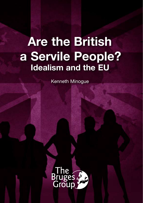# **Are the British a Servile People? Idealism and the EU**

Kenneth Minogue

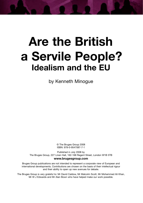# **Are the British a Servile People? Idealism and the EU**

by Kenneth Minogue

© The Bruges Group 2008 ISBN: 978-0-9547087-7-1

Published in July 2008 by The Bruges Group, 227 Linen Hall, 162-168 Regent Street, London W1B 5TB

#### **www.brugesgroup.com**

Bruges Group publications are not intended to represent a corporate view of European and international developments. Contributions are chosen on the basis of their intellectual rigour and their ability to open up new avenues for debate.

The Bruges Group is very grateful to: Mr David Caldow, Mr Malcolm Scott, Mr Mohammed Ali Khan, Mr W J Edwards and Mr Alan Bown who have helped make our work possible.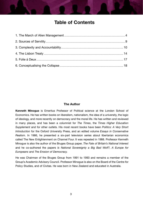# **Table of Contents**

### **The Author**

**Kenneth Minogue** is Emeritus Professor of Political science at the London School of Economics. He has written books on liberalism, nationalism, the idea of a university, the logic of ideology, and more recently on democracy and the moral life. He has written and reviewed in many places, and has been a columnist for *The Times*, the *Times Higher Education Supplement* and for other outlets. His most recent books have been *Politics: A Very Short Introduction* for the Oxford University Press, and an edited volume *Essays in Conservative Realism*. In 1986, he presented a six-part television series about libertarian economics called The New Enlightenment on Channel Four. It was repeated in 1988. Professor Kenneth Minogue is also the author of the Bruges Group paper, *The Fate of Britain's National Interest*  and he co-authored the papers *Is National Sovereignty a Big Bad Wolf?*, *A Europe for Europeans* and *The Erosion of Democracy.*

He was Chairman of the Bruges Group from 1991 to 1993 and remains a member of the Group's Academic Advisory Council. Professor Minogue is also on the Board of the Centre for Policy Studies, and of Civitas. He was born in New Zealand and educated in Australia.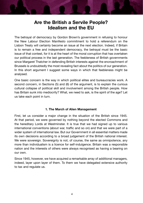# **Are the British a Servile People? Idealism and the EU**

The betrayal of democracy by Gordon Brown's government in refusing to honour the New Labour Election Manifesto commitment to hold a referendum on the Lisbon Treaty will certainly become an issue at the next election. Indeed, if Britain is to remain a free and independent democracy, the betrayal must be the basic issue of that contest, for it is at the heart of the moral corruption that has overtaken our political process in the last generation. The feebleness of British governments since Margaret Thatcher in defending British interests against the encroachment of Brussels is undoubtedly the most revealing fact about the politics of our generation. In this short argument I suggest some ways in which that feebleness might be analysed.

One basic concern is the way in which political elites and bureaucracies work. A second concern, in Sections (5) and (6) of the argument, is to explain the curious cultural collapse of political skill and involvement among the British people. How has Britain sunk into mediocrity? What, we need to ask, is the spirit of the age? Let us take each point in turn.

### **1. The March of Alien Management**

First, let us consider a major change in the situation of the British since 1945. At that period, we were governed by nothing beyond the elected Commons and the hereditary Lords at Westminster. It is true that we had signed up to various international conventions (about war, traffic and so on) and that we were part of a wider system of international law. But our Government in all essential matters made its own decisions according to a broad judgement of the British national interest. We were sovereign. Sovereignty is not, of course, the same as omnipotence, any more than individualism is a licence for self-indulgence. Britain was a responsible nation and the interests of others were always recognised as having a bearing on our own.

Since 1945, however, we have acquired a remarkable array of additional managers, indeed, layer upon layer of them. To them we have delegated extensive authority to tax and regulate us.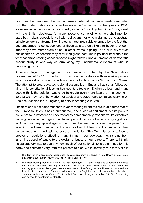First must be mentioned the vast increase in international instruments associated with the United Nations and other treaties – the Convention on Refugees of 1951<sup>1</sup> for example. Acting as what is currently called a "good global citizen" plays well with the British electorate for many reasons, some of which we shall mention later, but it plays especially well with politicians, for whom signing up to abstract principles looks statesmanlike. Statesmen are irresistibly charmed by the fact that any embarrassing consequences of these acts are only likely to become evident after they have retired from office. In other words, signing up to blue sky virtues has become a respectable way of striking grand postures in political life without the fear that embarrassing consequences might follow. Such an erosion of democratic accountability is one way of formulating my fundamental criticism of what is happening to us.

A second layer of management was created in Britain by the New Labour government of 1997, in the form of devolved legislatures with extensive powers which were set up to allow a certain amount of autonomy for Scotland and Wales. The attempt to create elected regional assemblies in England has so far failed, but all of this constitutional fussing has had its effects on English politics, and many people think the solution would be to create even more layers of management, so that we may have the wisdom of additional elected representatives (serving on Regional Assemblies in England) to help in ordering our lives.2

The third and most comprehensive layer of management over us is of course that of the European Union. It has a bureaucracy, and a kind of parliament, but its powers could not for a moment be understood as democratically responsive. Its directives and regulations are recognised as taking precedence over Parliamentary legislation in Britain, and any appeal against them must be heard in its own European Court, in which the literal meaning of the words of an EU law is subordinated to their consonance with the basic purpose of the Union. The Commission is a fecund creator of regulations affecting many things in our everyday life, ranging from land-fill disposal of waste to the design of buses on our streets. There is, I think, no satisfactory way to quantify how much of our national life is determined by this body, and estimates vary from ten percent to eighty. It is certainly true that while in

<sup>1</sup> The text of this and many other such declarations may be found in Ian Brownlie (ed.) *Basic Documents on Human Rights*, Clarendon Press Oxford, 1971.

<sup>2</sup> The most recent proposal in Britain (*The Daily Telegraph* 21 March 2008) is to substitute an elected chamber (to be called a Senate) for the current House of Lords. This new layer of representatives, we may guess, would be a great deal more active and interfering than the House of Lords we have inherited from past times. The name will assimilate our English eccentricity to practices elsewhere. Thomas Hobbes in *Leviathan* (1651) identified "imitation of neighbour nations" in Ch. 29 as being one danger to constitutional stability.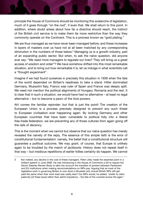principle the House of Commons should be monitoring this avalanche of legislation, much of it goes through "on the nod", if even that. We shall return to this point. In addition, where doubt arises about how far a directive should reach, the instinct of the British civil service is to make them far more restrictive than the way they commonly operate on the Continent. This is a process known as "gold plating."

We are thus managed as we have never been managed before, and these increases in layers of masters over us have not at all been matched by any corresponding diminution in the numbers of those below.<sup>3</sup> Managing us is a growth industry, part of an expanding public sector. But when, to ask the naïve question, did anyone ever say: "We need more managers to regulate our lives? They will bring us a great access of wisdom and order"? We have somehow drifted into this most remarkable situation, and to bring out how remarkable it is, let us indulge in what scientists call a "thought experiment".

Imagine if we had found ourselves in precisely this situation in 1939 when the fate of the world depended on Britain's readiness to take a stand. Hitler dominated Germany, Mussolini Italy, Franco was ruler of Spain and France was deeply split. We need not mention the political alignments of Hungary, Romania and the rest. It is clear that in such a situation, we would have had no alternative – at least no legal alternative – but to become a pawn of the Axis powers.

Ah! comes the familiar rejoinder: but that is just the point! The creation of the European Union is a process precisely designed to prevent any such threat to European civilisation ever happening again. By locking Germany and other European countries that have been vulnerable to political folly into a liberal free-trade federation, we are preventing any of those cultures from again going off the rails of decency.

This is the moment when we cannot but observe that our naïve question has merely revealed the naivety of the reply. The essence of this simple faith is the error of constitutional fundamentalism: namely, the belief that a constitutional structure will guarantee a political outcome. We may grant, of course, that Europe is unlikely again to be troubled by the march of jackboots. History does not repeat itself in that way – but insidious repetitions of earlier follies certainly do happen. We cannot

<sup>3</sup> Nor indeed, any decline in the cost of these managers. Peter Lilley made the essential point in a brilliant speech in June 2008. He was introducing in the House of Commons a bill to require the Senior Salaries Review Body to take into account the transfers of powers between Parliament and EU institutions when making recommendations on MPs pay. Arguing that as most of the legislative work in governing Britain is now done in Brussels why should British MPs still get paid the same when their work load was vastly less? Our MPs would, he added, "prefer to claim paternity [of these laws] rather than admit impotence – the fate of the cuckold across the ages."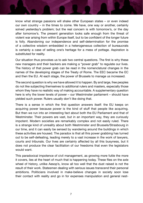know what strange passions will shake other European states – or even indeed our own country – in the times to come. We have, one way or another, certainly solved yesterday's problem; but the real concern is with tomorrow's, or the day after tomorrow's. The present generation looks safe enough from the threat of violent war arising from within Europe itself, but to be confident of the longer future is folly. Abandoning our independence and self-determination for the promise of a collective wisdom embedded in a heterogeneous collection of bureaucrats is certainly a case of selling one's heritage for a mess of pottage. Aspiration is substituted for reality.

Our situation thus provokes us to ask two central questions. The first is why these new managers and their backers are making a "power grab" to regulate our lives. The history of that power grab can be read in the nomenclatural changes in the names of the developing stages of the Treaty of Rome. The EEC became the EC and then the EU. At each stage, the power of Brussels to manage us increased.

The second question is why we have allowed it to happen. By and large, free peoples do not like subjecting themselves to additional rulers and masters, especially those whom they have no realistic way of making accountable. A supplementary question here is why the lower levels of power – our Westminster parliament – should have yielded such power. Rulers usually don't like doing that.

There is a sense in which the first question answers itself: the EU keeps on acquiring power because power is the kind of stuff that people like acquiring. But then we run into an interesting fact about both the EU Parliament and that of Westminster. Their powers are vast, but in an important way, they are curiously impotent. Modern societies are remarkably complex and not easily ruled. There is a strange kind of unreality about both Westminster and Brussels/Strasbourg in our time, and it can easily be sensed by wandering around the buildings in which these activities are housed. The paradox is that all this power grabbing has turned out to be self-defeating, leading merely to a vast increase in the work of lawyers, courts and tribunals. Our lives are certainly affected by all this busyness, but it does not produce the clear facilitation of our freedoms that even the legislators would want.

This paradoxical impotence of civil management, as growing more futile the more it covers, lies at the heart of much that is happening today. These flies on the axle wheel of history, unlike Aesop's, know all too well that the dust raised is not the result of their work. Statesmen dealing with serious issues transcend their personal ambitions. Politicians involved in make-believe changes in society soon lose their contact with reality and go in for expenses manipulation and general nest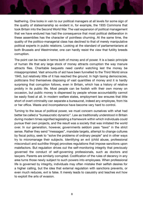feathering. One looks in vain to our political managers at all levels for some sign of the quality of statesmanship so evident in, for example, the 1935 Commons that took Britain into the Second World War. The vast expansion of political management that we have endured has had the consequence that most political deliberation in these assemblies has the character of pointless churning. At the same time, the quality of the politico-managerial class has declined to that of merely manipulative political experts in public relations. Looking at the standard of parliamentarians at both Brussels and Westminster, one can hardly resist the view that futility breeds corruption.

The point can be made in terms both of money and of power. It is a basic principle of human life that any large stock of money attracts corruption the way manure attracts flies. Charitable bequests need careful watching lest the money be misappropriated. Vast amounts of aid have been funnelled to the Third World since 1945, but relatively little of it has reached the ground. In high taxing democracies, politicians find themselves disposing of vast quantities of money and it is hardly surprising that corruption follows, even in Britain, which has a history of relative probity in its public life. Most people can be foolish with their own money on occasion, but public money is dispensed by people whose accountability cannot be easily fixed at all. In modern welfare states, employment law ensures that little short of overt criminality can separate a bureaucrat, indeed any employee, from his or her office. Waste and incompetence have become very hard to control.

Turning to the issue of political power, we must concern ourselves with what had better be called a "bureaucratic dynamic". Law as traditionally understood in Britain during modern times signified legislating a framework within which individuals could pursue their own projects, and the result was a society that was imitated the world over. In our generation, however, governments seldom pass "laws" in the strict sense. Rather they send "messages", mandate targets, attempt to change cultures by fiscal policy, seek to "solve the problems of ordinary people" and in other ways try to micromanage their subjects. Identifying an evil (child abuse, professional misconduct and suchlike things) provokes regulations that impose sanctions upon malefactors. But regulation drives out the self-monitoring integrity that previously governed the conduct of self-governing professionals, such as doctors and lawyers. Parents are similarly corrupted. Codification of the rules of decency in any area turns those newly subject to such powers into employees. When professional life is governed by integrity, individuals may often mistake their selfish desires for a higher calling, but the idea that external regulation with sanctions prevents, or even much reduces, evil is false. It merely leads to casuistry and teaches evil how to exploit the arts of evasion.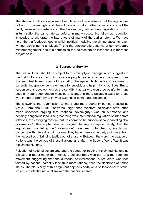The standard political diagnosis of regulation-failure is always that the regulations did not go far enough, and the solution is to take further powers to control the newly revealed imperfections. The bureaucracy issues new regulations, which in turn suffer the same fate as before. In many cases, this follow up regulation is needed to withdraw the bad effects of many of the earlier reforms. We have here, then, a feedback loop in which political meddling merely increases its reach without achieving its ambition. This is the bureaucratic dynamic of contemporary micromanagement, and it is demeaning for the masters no less than it is for those subject to it.

## **2. Sources of Servility**

That we in Britain should be subject to this multiplying managerialism suggests to me that Britons are becoming a servile people, eager to accept the yoke. I think that such feebleness is part of the spirit of the age in which we live, a readiness to surrender independence in exchange for subsidy and help in living our lives. But to recognise this development as the servility it actually is would be painful to many people. Moral degeneration must be presented in more palatable ways by those who intend to profit by it. In what way has it been made palatable?

The answer is that submission to more and more authority comes dressed as virtue. From about 1918 onwards, high-toned Western politicians have often made speeches arguing that "national sovereignty" was an outmoded and possibly dangerous idea. The great thing was international regulation of inter-state relations, the emerging system that has come to be euphemistically called "global governance". This euphemism is designed to suggest (quite falsely) that the regulations constituting the "governance" have been untouched by any human concerns with interest or with power. They have merely emerged, as it were, from the necessities of bringing justice out of anarchy. Between the wars, the League of Nations was the vehicle of these illusions, and after the Second World War, it was the United Nations.

Rejection of national sovereignty and the vogue for treating the United Nations as a legal and moral rather than merely a political body was part of a more general movement suggesting that the authority of international bureaucrats was less tainted by national partiality (and thus more rational) than the decisions of nation states. The plausibility of this argument depends partly on a philosophical mistake, which is to identify nationalism with the national interest.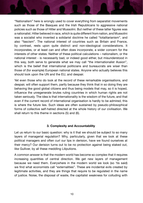"Nationalism" here is wrongly used to cover everything from separatist movements such as those of the Basques and the Irish Republicans to aggressive national policies such as those of Hitler and Mussolini. But neither of these latter figures was a nationalist. Hitler believed in race, which is quite different from nation, and Mussolini was a socialist who invented a solidarist doctrine he called "totalitarianism", and also "fascism". The national interest of countries such as Britain and France, by contrast, rests upon quite distinct and non-ideological considerations. It incorporates, or at least can and often does incorporate, a wider concern for the interests of other states. Neither of these political calculations – nationalism, or the national interest - is necessarily bad, or indeed good either, but misunderstood in this way, both serve to generate what we may call "the internationalist illusion", which is the belief that international politicians and bureaucrats are wiser than those of (for example) European national states. Anyone who actually believes this should look upon the UN and the EU, and despair.

Yet even those who do look at the record of these remarkable organisations, and despair, will often support them, partly because they think that in so doing they are behaving like good global citizens and thus being models that may, so it is hoped, influence the unregenerate brutes ruling countries in which human rights are not taken seriously. The idea is that internationality is the wisdom of the future, and that even if the current record of international organisation is hardly to be admired, this is where the future lies. Such ideas are often sustained by pseudo-philosophical forms of collective self-hatred directed at the whole history of our civilisation. We shall return to this theme in sections (5) and (6).

#### **3. Complexity and Accountability**

Let us return to our basic question: why is it that we should be subject to so many layers of managerial regulation? Why, particularly, given that we look at these political managers and often curl our lips in derision, have we found ourselves at their mercy? Our derision turns out to be no protection against being staked out, like Gulliver, by all these meddling Liliputions.

A common answer is that the modern world has become so complex that it requires increasing quantities of central direction. We get new layers of management because we need them. Everywhere in the modern world we look (so 'tis said) we find what economists call "externalities". These are incidental evils created by legitimate activities, and they are things that require to be regulated in the name of justice. Noise, the disposal of waste, the capitalist weakness for colluding with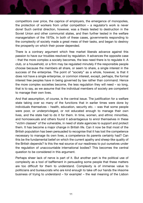competitors over price, the caprice of employers, the emergence of monopolies, the protection of workers from unfair competition – a regulator's work is never done! Such central direction, however, was a thesis tested to destruction in the Soviet Union and other communist states, and then further tested in the welfare managerialism of the 1970s. In both of these cases, governments responding to the complexity of society made a great mess of their tasks, and began to destroy the prosperity on which their power depended.

There is a contrary argument which free market liberals advance against this passion to have our troubles resolved by regulation. It advances the opposite case - that the more complex a society becomes, the less need there is to regulate it. A club, or a household, or a firm may be regulated minutely if the responsible people choose because the members all share, or seem to share, a single interest in the success of the enterprise. The point of "society" as a whole, however, is that it does not have a single enterprise, or common interest, except, perhaps, the formal interest free peoples have in being governed by law rather than command. Hence the more complex societies become, the less regulation they will need – so long, that is to say, as we assume that the individual members of society are competent to manage their own lives.

And that assumption, of course, is the central issue. The justification for a welfare state taking over so many of the functions that in earlier times were done by individuals themselves – health, education, security etc. – was that some people were poor, or underprivileged, or not educated enough to manage their own lives, and the state had to do it for them. In time, women, and ethnic minorities, and homosexuals and others found it advantageous to enrol themselves in these "victim classes" of the vulnerable, in need of state agencies to support and protect them. It has become a major change in British life. Can it now be that most of the British population has been persuaded to recognise that it has lost the competence necessary to manage its own lives, a competence its parents certainly had? Can this be the fundamental belief on which the current apathy and sheep-like quality of the British depends? Is this the real source of our readiness to put ourselves under the regulation of unaccountable international bodies? This becomes the central question to be considered in this argument.

Perhaps sheer lack of nerve is part of it. But another part is the political use of complexity as a tool of bafflement in persuading some people that these matters are too difficult for them to understand. Complexity is of immense value to politicians and bureaucrats who are kind enough to take off our hands the irksome business of trying to understand – for example! – the real meaning of the Lisbon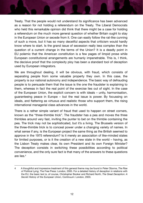Treaty. That the people would not understand its significance has been advanced as a reason for not holding a referendum on the Treaty. The Liberal Democrats who held this remarkable opinion did think that there might be a case for holding a referendum on the much more general question of whether Britain ought to stay in the European Union or secede from it. One can easily follow the rat-like cunning of such a move, but it has so many deceitful aspects that criticism would hardly know where to start. Is the grand issue of secession really less complex than the question of a current change in the terms of the Union? It is a deadly point in EU polemic that the American constitution is a few pages of limpid prose while European constitutional arrangements are humanly impenetrable. This is, I think, the decisive proof that the complexity ploy has been a standard tool of deception used by European integrators.

We are throughout dealing, it will be obvious, with fraud, which consists of separating people from some valuable property they own. In this case, the property is our national autonomy and independence. The basic way of defrauding people is to persuade them that the issue is the one the fraudster is explaining to them, whereas in fact the real point of the exercise lies out of sight. In the case of the European Union, the explicit concern is with ideals – unity, harmonisation, guaranteeing peace in Europe – but the real issue is power. By focussing on ideals, and flattering as virtuous and realistic those who support them, the rising international managerial class advances in the world.

There is a rather simple variant of fraud that used to happen on street corners, known as the "three-thimble trick". The fraudster has a pea and moves the three thimbles around very fast, inviting the punter to bet on the thimble containing the pea. The trick may not be sophisticated, but it's a living. The Brussels version of the three-thimble trick is to conceal power under a changing variety of names. In what sense if any, is the European project the same thing as the British seemed to approve in the 1975 referendum? Is it merely an association of like-minded states for limited purposes, or is it the creation of a new state in the world – having, as the Lisbon Treaty makes clear, its own President and its own Foreign Minister? The deception consists in switching these possibilities according to political convenience, and the only sure fact is that many of the answers to these questions are lies.4

<sup>4</sup> A thoughtful and impressive treatment of this general theme may be found in Peter Oborne, *The Rise of Political Lying*, The Free Press: London, 2005. For a detailed history of deception in relations with the EU, the basic text is, of course, Christopher Booker and Richard North, *The Great Deception: A Secret History of the European Union*, Continuum: London, 2003.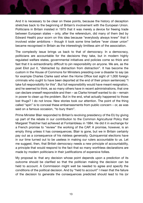And it is necessary to be clear on these points, because the history of deception stretches back to the beginning of Britain's involvement with the European Union. Politicians in Britain insisted in 1975 that it was merely a device for freeing trade between European states – only, after the referendum, did many of them (led by Edward Heath) pour scorn on this idea because "everybody always knew" that it involved wider ambitions – though it took some time before "ever closer union" became recognised in Britain as the interestingly limitless aim of the association.

The complexity issue brings us back to that of democracy. In a democracy, politicians are accountable for the decisions they take, but in modern highly regulated welfare states, governmental initiatives and policies come so thick and fast that it is extraordinarily difficult to pin responsibility on anyone. We are, as the poet Eliot put it, "distracted by distraction from distraction". It has become the custom in the House of Commons for Ministers presiding over a disaster to say (as for example Charles Clarke said when the Home Office lost sight of 1,000 foreign criminals who ought to have been deported at the end of their prison sentences) "I take full responsibility for this". But full responsibility would have meant resignation, and he seemed to think, as so many others have in recent administrations, that one can declare oneself responsible and then – as Clarke himself wanted to do – remain in power to clean up the problem. But in the end, what actually happened to those lost thugs? I do not know. New stories took our attention. The point of the thing called "spin" is to conceal these embarrassments from public concern – or, as was said on a famous occasion, "to bury them".

Prime Minister Blair responded to Britain's revolving presidency of the EU by giving up part of the rebate in our contribution to the Common Agricultural Policy that Margaret Thatcher had achieved at Fontainbleau in 1984. He did it in exchange for a French promise to "review" the working of the CAP. A promise, however, is an empty thing unless it has consequences. Blair is gone, but we in Britain certainly pay out as a consequence of his riskless generosity. Quinquennial elections have in our time turned out to be useless in making our rulers accountable to us. Let me suggest, then, that British democracy needs a new principle of accountability, a principle that would respond to the fact that so many worthless declarations are made by modern politicians in their justifications of expensive follies.

My proposal is: that any decision whose point depends upon a prediction of its outcome should be clarified so that the politician making the decision can be held to account. A Commission might well be needed to agree and specify the conditions of the political decision. And by "held to account" I mean that the failure of the decision to generate the consequences predicted should lead to his (or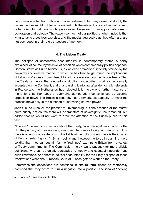her) immediate fall from office and from parliament. In many cases no doubt, the consequences might not become evident until the relevant officeholder had retired, or had died. In that case, such figures would be subject to an appropriate form of denigration and obloquy. The reason so much of our politics is light-minded is that lying to us is a costless exercise, and the media, aggressive as they often are, are not very good in their role as keepers of memory.

#### **4. The Lisbon Treaty**

The collapse of democratic accountability in contemporary states is partly explained, of course, by the level of deceit on which contemporary politics depends. Gordon Brown as Prime Minister is, as we earlier remarked, indelibly stained by the cowardly and evasive manner in which he has tried to get round the implications of Labour's Manifesto commitment to hold a referendum on the Lisbon Treaty. That the Treaty is merely the rejected constitution re-described is almost universally accepted on the Continent, and thus passing it into law after democratic referenda in France and the Netherlands had rejected it is merely one further instance of the Union's familiar tactic of overriding democratic inconveniences by wearing opposition down. The Brussels oligarchy has a remarkable capacity to make the process move only in the direction of increasing its own power.

Jean-Claude Juncker, the premier of Luxembourg, put the essence of the matter quite crisply, "of course there will be transfers of sovereignty", he remarked, but added that he would not want to draw the attention of the British public to this fact.

"There is", he went on to remark about the Treaty, "a single legal personality for the EU, the primacy of European law, a new architecture for foreign and security policy, there is an enormous extension in the fields of the EU's powers, there is the Charter of Fundamental Rights…"5 British politicians, however, lie to us in claiming more solidity than they can sustain for the "red lines" exempting Britain from a variety of Treaty commitments. The Commission merely waits patiently for more pliable politicians who can be quietly persuaded to modify and eventually abandon any such limitations. And there is no real accountability for the likely collapse of these reservations when the European Court of Justice gets to work on the Treaty.

Sometimes the deceptions are contained in absurd formulations so rhetorically confused that they seem to turn a negative into a positive. The idea of "pooling

<sup>5</sup> *The Daily Telegraph*, July 3, 2007.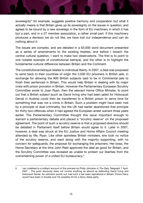sovereignty" for example, suggests positive harmony and cooperation but what it actually means is that Britain gives up its sovereignty on the issues in question, and agrees to be bound by a new sovereign in the form of EU machinery in which it has but a part, and in a 27 member association, a rather small part. If this machinery produces a decision we do not like, we have lost our independence and can do nothing about it.

The issues are complex, and are detailed in a 63,000 word document presented as a series of amendments to the existing treaties, and before I broach the central cultural question, I want to make two observations. The first is to point to one notable example of constitutional betrayal, and the other is to highlight the fundamental cultural difference between Britain and the Continent.

The constitutional betrayal relates to individual liberty. In 2007, a deal was proposed to send back to their countries of origin the 2,000 EU prisoners in British jails, in exchange for allowing the 800 British subjects said to be in Continental jails to finish their sentences in Britain. This would help Britain in dealing with its major crisis with prison provision in Britain. However the Parliamentary European Scrutiny Committee wrote to Joan Ryan, then the relevant Home Office Minister, to point out that a British subject (such as David Irving who had been jailed for Holocaust Denial in Austria) could then be transferred to a British prison to serve time for something that was not a crime in Britain. Such a problem might have been met by a principle of dual criminality, but the UK had earlier abandoned that principle for thirty-two offences when it had agreed the European arrest warrant three years earlier. The Parliamentary Committee thought this issue important enough to warrant a parliamentary debate and placed a "scrutiny reserve" on the proposed agreement. The point of such a scrutiny reserve is that a proposed directive should be debated in Parliament itself before Britain would agree to it. Later in 2007, however, a deal was struck at the EU Justice and Home Affairs Council meeting attended by Ms. Ryan. Like other spineless British ministers, she took no notice of the scrutiny reserve, and went along with the majority supporting, with no concern for safeguards, the proposal for exchanging the prisoners. Her boss, the Home Secretary at the time John Reid approved the deal as good for Britain, and the Scrutiny Committee was revealed as unable to protect our liberties from the overwhelming power of a united EU bureaucracy.6

<sup>6</sup> I am indebted to a brilliant account of this process by Philip Johnston in *The Daily Telegraph* 7 April, 2007. . The point obviously does not involve anything as absurd as defending David Irving and Holocaust Denial. As Johnston points out, had such a law been operational in Britain, Prince Harry would have been in trouble over his swastika kit for a fancy dress party.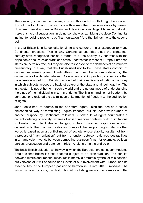There would, of course, be one way in which this kind of conflict might be avoided. It would be for Britain to fall into line with some other European states by making Holocaust Denial a crime in Britain, and dear ingenious Angel Merkel actually did make this helpful suggestion. In doing so, she was exhibiting the deep Continental instinct for solving problems by "harmonisation." And that brings me to the second point.

It is that Britain is in its constitutional life and culture a major exception to many Continental practices. This is why Continental countries since the eighteenth century have recognised her as a model of a free society, by contrast with the Napoleonic and Prussian traditions of the Rechtsstaat in most of Europe. European states are certainly free, but they are also responsive to the demands of an intrusive bureaucracy in a way that the British used not to be. These states contain, of course, immensely powerful antipathies that must be accommodated by the conventions of a debate between Government and Opposition, conventions that have been adapted from British practice, but their ideal is one of national harmony in which subjects accept the basic structure of the state and all pull together. The jury system is not at home in such a world and the natural mode of understanding the place of the individual is in terms of rights. The English tradition of freedom, by contrast, long resisted the assimilation of its tradition of freedom to the codification of rights.

John Locke had, of course, talked of natural rights, using the idea as a casual philosophical way of formulating English freedom, but his ideas were turned to another purpose by Continental followers. A schedule of rights adumbrates a correct ordering of society, whereas English freedom contains built in limitations to freedom, and facilitates a changing cultural character responsive in each generation to the changing tastes and ideas of the people. English life, in other words is based upon a conflict model of society whose stability results not from a process of "harmonisation" but from a tension between balanced desirabilities in an ambivalent world: between competing business firms, for example, political parties, prosecution and defence in trials, versions of faiths and so on.

The basic British objection to the way in which the European project accommodates Britain is that British life has become subject to an alien tradition. The conflict between metric and imperial measures is merely a dramatic symbol of this conflict, but versions of it will be found at all levels of our involvement with Europe, and its essence lies in the European passion to harmonise us into little Europeans. The rest – the hideous costs, the destruction of our fishing waters, the corruption of the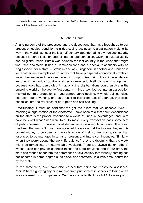Brussels bureaucracy, the waste of the CAP – these things are important, but they are not the heart of the matter.

#### **5. Folie á Deux**

Analysing some of the processes and the deceptions that have brought us to our present enfeebled condition is a depressing business. A great nation making its way in the world has, over the last half century, abandoned its own unique integrity because it feared isolation and fell into cultural confusion. Given its cultural vitality and its global reach, Britain was perhaps the last country in the world that might find itself "isolated". It has a Commonwealth and a special relationship with an Anglosphere, for a start. Australia in one way, Singapore in another and Canada in yet another are examples of countries that have prospered economically without losing their nerve and therefore having to compromise their political independence. Yet one of the world's top five or six economies sold itself into alien management because fools had persuaded it that only the big battalions could survive in the emerging world of the twenty first century. It finds itself locked into an association marked by timid protectionism and demographic decline. A whole political class has been found wanting, and as a result of failing the test of courage, that class has fallen into the trivialities of corruption and self-seeking.

Unfortunately it must be said that we get the rulers that we deserve. "We" – meaning a large section of the electorate – have been told that "our" dependence on the state is the proper response to a world of unequal advantages, and "we" have believed what "we" were told. To make every transaction pass some test of justice seemed to have entailed dependence on a regulating state. The result has been that many Britons have acquired the notion that the income they earn is pocket money to be spent on the satisfaction of their current wants, rather than resources to be managed in terms of present and future contingencies. Similarly, when they worry about "the work-life balance", they are dreaming that the week might be turned into an interminable weekend. There are always richer "others" whose taxes can pay for all those things the state provides, and in our time, the state has ranged so far into the enterprises of civil society that virtually nothing has not become in some degree subsidised, and therefore, in a little time, controlled by the state.

At the same time, "we" have also learned that pains can mostly be abolished, "pains" here signifying anything ranging from punishment in schools to losing one's job as a result of incompetence. We have come to think, as PJ O'Rourke put it,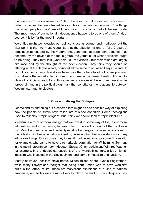that we may "vote ourselves rich". And the result is that we expect politicians to bribe us. Issues that are situated beyond this immediate concern with "the things that affect people's lives" are of little concern for a large part of the electorate. The importance of our national independence happens to be one of them. And, of course, it is by far the most important.

We critics might well despise our political class as corrupt and mediocre, but the vital point is that we must recognise that the situation is one of folie á deux. A population persuaded by the rhetoric that generates its dependent condition has become, by the device of the focus group, the yardstick of what politicians ought to be doing. They may talk (God help us!) of "visions", but their minds are largely circumscribed by the thought of the next election. They think they should be offering what the demos wants, or (not at all the same thing) what it says it wants. In no political party these days do we have more than a handful of politicians prepared to challenge the remarkable mind-set of our time in the name of reality. And until a class of politicians ready to do this emerges to save us (if it ever does), we shall be forever drifting in the political pidgin talk that constitutes the relationship between Westminster and its electors.

### **6. Conceptualising the Collapse**

Let me end by sketching out a schema that might be one possible way of exploring how the people of Britain have fallen into this sad condition. Some theologians used to talk about "spilt religion", but I think we should look at "spilt idealism".

Idealism is a form of moral energy that we invest in some way of life, in our moral admirations and in our sense, for example, of the kind of conduct that is "below us". Most Europeans, indeed probably most collective groups, invest a good deal of their idealism in their own national identity, believing that the nation stands for many admirable things. Occasionally they invest it in other nations, as some Britons did, for example, who came to have a remarkable admiration for Wilhelmine Germany in the late nineteenth century – Houston Stewart Chamberlain and Winifred Wagner, for example. In the ideological passions of the twentieth century, a lot of British idealism was invested in the Soviet Union, and some in Fascism and Nazism.

Mostly however, idealism stays home. Milton talked about "God's Englishmen" while many Edwardians thought that being born British was to have won first prize in the lottery of life. These are marvellous exhibitions of a kind of national arrogance, and today we are more likely to follow the lead of Uriah Heep and say,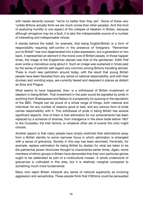with heads decently bowed: "we're no better than they are". Some of these very 'umble Britons actually think we are much worse than other peoples. And this kind of posturing humility is one aspect of the collapse of idealism in Britain, because although arrogance may be a fault, it is also the indispensable source of a number of interesting and indispensable virtues.

It stands behind the belief, for example, that being English/British is a form of responsibility requiring self-control in the presence of foreigners. "Remember you're British" has now degenerated into a joke expression, but a generation or two back, it represented an element in the moral core of British people. In those happier times, the image of the Englishman abroad was that of the gentleman. Edith Piaf even wrote a marvellous song about it. Such an image was sustained in times past by the sense of patriotic self-regard very common among Britons travelling abroad. There is much less patriotism around today, with the result that young British people have been liberated from any sense of national responsibility, and with their drunken and vomiting ways, are currently feared and despised in places as distant as Ibiza and Prague.

What seems to have happened, then, is a withdrawal of British investment of idealism in being British. That investment in the past would be signalled by pride in anything from Shakespeare and Nelson to a propensity for queuing or the reputation of the BBC. People can be proud of a whole range of things, both national and individual, for any number of reasons good or bad, and any serious form of pride carries responsibility with it. This withdrawal of pride in being British has several significant aspects. One of them is that admiration for our achievements has been replaced by a schedule of shames, from indulgence in the slave trade before 1807 to the Crusades, the Irish famine, or whatever other set of events the critic might choose.

Another aspect is that many people have simply switched their admirations away from a British identity to some narrower focus in which admiration is entangled with a sense of grievance. Society in this way has been atomised. Feminists, for example, replace admiration for being British by disdain for what are taken to be the patriarchal power structures thought to characterise earlier times. Again, some members of ethnic groups in Britain have demanded that their own particular glories ought to be celebrated as part of a multicultural mosaic. A whole underworld of grievances is cultivated in this area, but it is relatively marginal compared to something much more fundamental.

Many who reject Britain interpret any sense of national superiority as involving aggression and xenophobia. These people think that if Britons could be persuaded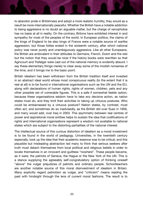to abandon pride in Britishness and adopt a more realistic humility, they would as a result be more internationally peaceful. Whether the British have a notable addiction to being aggressive is no doubt an arguable matter, but the charge of xenophobia has no basis at all in reality. On the contrary, Britons have exhibited interest in and sympathy for most of the peoples of the world. In European politics, the claims of the kings of England to be also kings of France were a notable source of warlike aggression, but those follies ended in the sixteenth century, after which national policy was never purely and unambiguously aggressive. Like all other Europeans, the British are ambivalent in their attitudes to Germans, French, Dutch and the rest but the notion that they would be nicer if the history books were rewritten so that Agincourt and Trafalgar were cast out of the national memory is evidently absurd. I say these elementary things merely to clear away some of the modish nonsense of the time, and it brings me to the basic point.

British idealism has been withdrawn from the British tradition itself and invested in an abstract ideal world whose most conspicuous reality (to the extent that it is real at all) is to be found in international organisations such as the UN and the EU, along with declarations of human rights, rights of women, children, pets and any other possible set of vulnerable figures. This is a safe if somewhat feeble option, because these organisations seldom have to take any decisive action, as nation states must do, and they limit their activities to taking up virtuous postures. Who could be embarrassed by a virtuous posture? Nation states, by contrast, must often act, and sometimes do so inadvisedly, as the British did over Suez in 1956, and many would add, over Iraq in 2003. This asymmetry between real centres of power and aspirational moral entities helps to sustain the idea that codifications of rights and international organisations represent a wisdom not available to national states which are subject to the distorting partialities of the national interest.

The intellectual source of this curious distortion of idealism as a moral investment is to be found in the world of pedagogy. Universities, in the twentieth century especially, took up the idea that their academic essence was to be critical, and this plausible but misleading abstraction led many to think that serious seekers after truth must detach themselves from local political and religious beliefs in order to locate themselves in an innocent and guiltless "nowhere". These people became, as it were, the patriots of Geneva, the Hague or the New York of the UN. This is a stance supplying the agreeably self-congratulatory option of thinking oneself "above" the vulgar prejudices of patriots and ordinary people. Schoolteachers are another notable source of this moral disinvestment of idealism in Britain. Many explicitly regard patriotism as vulgar, and "criticism" means reading the past with hindsight through the lens of current moral fashions. The result is to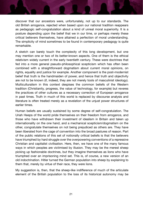discover that our ancestors were, unfortunately, not up to our standards. The old British arrogance, rejected when based upon our national tradition reappears as pedagogic self-congratulation about a kind of unreal moral superiority. It is a posture depending upon the belief that we in our time, or perhaps merely these critical believers themselves, have attained a perfection of moral understanding. The simplicity of mind sometimes to be found in contemporary pedagogy is quite remarkable.

A sketch can barely touch the complexity of this long development, but one may mention one or two of its better-known aspects. One of them is the ethical relativism widely current in the early twentieth century. These were doctrines that fed into a more general pseudo-philosophical scepticism which has often been combined with a straightforward dogmatism about current moral opinions, on rights, equality and justice for example. Another component is the post-modernist belief that truth is the handmaiden of power, and hence that truth and objectivity are not to be known (if, indeed, they are not merely tools of masculinist ideology). Multiculturalism in this context despises the common beliefs of the Western tradition (Christianity, progress, the value of technology, for example) but reveres the practices of other cultures as a necessary correction of European arrogance in past times. Truth in much of this world is replaced by discourse analysis and literature is often treated merely as a revelation of the unjust power structures of earlier times.

Human beliefs are usually sustained by some degree of self-congratulation. The Uriah Heeps of the world pride themselves on their freedom from arrogance, and those who have withdrawn their investment of idealism in Britain and taken up internationality on the one hand, and a mechanical scepticism/dogmatism on the other, congratulate themselves on not being prejudiced as others are. They have been liberated from the cage of convention into the broad pastures of reason. Part of the public relations of this set of notionally critical beliefs is that the believers have triumphed by hard struggle over the overpowering conventions of a repressive Christian and capitalist civilisation. Here, then, we have one of the many famous ways in which peoples are victimised by illusion. They may be the merest sheep picking up fashionable doctrines, but they imagine themselves as lions who have triumphed over an imprisoning mind set. This is, of course, a new version of an old indoctrination. Hitler turned the German population into sheep by explaining to them that, merely by virtue of their race, they were lions.

My suggestion is, then, that the sheep-like indifference of much of the articulate element of the British population to the loss of its historical autonomy may be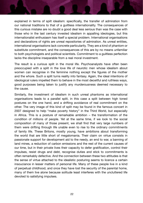explained in terms of spilt idealism: specifically, the transfer of admiration from our national traditions to that of a guiltless internationality. The consequences of this curious mistake are no doubt a good deal less serious than was the case with those who in the last century invested idealism in appalling ideologies, but this internationalist enthusiasm has itself a special problem. International organisations and declarations of rights are unreal repositories of admiration. As unreal entities, international organisations lack concrete particularity. They are a kind of phantom or substitute commitment, and the consequences of this are by no means unfamiliar to both psychologists and political scientists. Commitment to a guiltless perfection lacks the discipline inseparable from a real moral investment.

The result is a curious split in the moral life. Psychoanalysts have often been preoccupied with a split in the love life of neurotic men whose idealism about women can recognise in the feminine nothing except the figures of the mother and the whore. Such a split turns reality into fantasy. Again, the ideal intentions of ideological rulers impelled them to behave in the most deceitful and ruthless ways, good purposes being taken to justify any murderousness deemed necessary to the cause.

Similarly, the investment of idealism in such unreal phantoms as international organisations leads to a parallel split, in this case a split between high toned postures on the one hand, and a drifting avoidance of real commitment on the other. The very image of this kind of split may be found in the famous concert in 2007 designed to help "make poverty history" in the Third World, but especially in Africa. This is a posture of remarkable ambition – the transformation of the condition of millions of people. Yet at the same time, if we look to the social composition of many of those present, we shall find that very large numbers of them were drifting through life unable even to rise to the ordinary commitments of family life. These Britons, mostly young, have ambitions about transforming the world that are little short of megalomania. Their claim on virtue consists in passionate support for development aid to the needy, an end to war, a banning of land mines, a reduction of carbon emissions and the rest of the current causes of our time, but in their private lives their capacity to defer gratification, control their impulses, resist drugs and debt, recognise duties and stick to commitments is often remarkably defective. And the connection between these two attitudes is that the sense of virtue attached to the idealistic posturing seems to licence a certain insouciance in lesser matters of personal life. Many of these people live in a kind of perpetual childhood, and once they have lost the security of the parental home, many of them live alone because solitude least interferes with the uncluttered life devoted to satisfying impulses.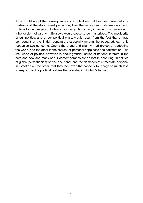If I am right about the consequences of an idealism that has been invested in a riskless and therefore unreal perfection, then the widespread indifference among Britons to the dangers of Britain abandoning democracy in favour of submission to a benevolent oligarchy in Brussels would cease to be mysterious. The mediocrity of our politics, and of our political class, would result from the fact that a large component of the British population, especially among the educated, can only recognise two concerns. One is the grand and slightly mad project of perfecting the world, and the other is the search for personal happiness and satisfaction. The real world of politics, however, is about grander issues of national interest in the here and now and many of our contemporaries are so lost in posturing unrealities of global perfectionism on the one hand, and the demands of immediate personal satisfaction on the other, that they lack even the capacity to recognise much less to respond to the political realities that are shaping Britain's future.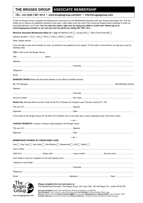## **THE BRUGES GROUP ASSOCIATE MEMBERSHIP**

#### **TEL: +44 (0)20 7287 4414 | www.brugesgroup.com/join | info@brugesgroup.com**

To join the Bruges Group, complete the following form and send it to the Membership Secretary with your annual subscription fee. This will entitle you to receive our published material for one year. It also helps cover the cost of the numerous Bruges Group meetings to which all Associate Members are invited. **You can also join online, right now, by using your debit or credit card. Please log on to** 

| www.brugesgroup.com/join or you can join over the phone by calling 020 7287 4414.                                             |            |                                                                                                                                               |  |
|-------------------------------------------------------------------------------------------------------------------------------|------------|-----------------------------------------------------------------------------------------------------------------------------------------------|--|
| Minimum Associate Membership Rates for 1 year UK Member £30 $\Box$ , Europe £45 $\Box$ , Rest of the world £60 $\Box$         |            |                                                                                                                                               |  |
| Optional donation: £10   £20   £50   £100   £250   £500                                                                       |            |                                                                                                                                               |  |
|                                                                                                                               |            |                                                                                                                                               |  |
| standing order.                                                                                                               |            | If you are able to give more towards our work, we would be very grateful for your support. For the sake of convenience, we urge you to pay by |  |
| YES! I wish to join the Bruges Group                                                                                          |            |                                                                                                                                               |  |
|                                                                                                                               |            |                                                                                                                                               |  |
|                                                                                                                               |            |                                                                                                                                               |  |
|                                                                                                                               |            |                                                                                                                                               |  |
|                                                                                                                               |            |                                                                                                                                               |  |
|                                                                                                                               |            |                                                                                                                                               |  |
| <b>BANKERS ORDER</b> Name and full postal address of your Bank or Building Society                                            |            |                                                                                                                                               |  |
|                                                                                                                               |            |                                                                                                                                               |  |
|                                                                                                                               |            |                                                                                                                                               |  |
|                                                                                                                               |            |                                                                                                                                               |  |
|                                                                                                                               |            |                                                                                                                                               |  |
|                                                                                                                               |            |                                                                                                                                               |  |
| Please Pay: Barclays Bank Ltd (Sort Code 20-46-73), 6 Clarence St, Kingston-upon-Thames, Surrey KT1 1NY                       |            |                                                                                                                                               |  |
|                                                                                                                               |            |                                                                                                                                               |  |
|                                                                                                                               |            |                                                                                                                                               |  |
| to the credit of the Bruges Group A/C No 90211214 forthwith and on the same day in each subsequent year until further notice. |            |                                                                                                                                               |  |
|                                                                                                                               | $-$ or $-$ |                                                                                                                                               |  |
| CHEQUE PAYMENTS I enclose a cheque made payable to the Bruges Group                                                           |            |                                                                                                                                               |  |
|                                                                                                                               |            |                                                                                                                                               |  |
|                                                                                                                               |            |                                                                                                                                               |  |
|                                                                                                                               | $-$ or $-$ |                                                                                                                                               |  |
| <b>MEMBERSHIP PAYMENT BY CREDIT/DEBIT CARD</b>                                                                                |            |                                                                                                                                               |  |
| Solo   Visa Card   Visa Delta   Visa Electron   Mastercard   JCB   Switch   G                                                 |            |                                                                                                                                               |  |
|                                                                                                                               |            |                                                                                                                                               |  |
|                                                                                                                               |            |                                                                                                                                               |  |
|                                                                                                                               |            |                                                                                                                                               |  |
|                                                                                                                               |            |                                                                                                                                               |  |
|                                                                                                                               |            |                                                                                                                                               |  |
|                                                                                                                               |            |                                                                                                                                               |  |
|                                                                                                                               |            |                                                                                                                                               |  |
|                                                                                                                               |            |                                                                                                                                               |  |



www.brugesgroup.com

**Please complete this form and return to:** 

The Membership Secretary, The Bruges Group, 227 Linen Hall, 162-168 Regent St., London W1B 5TB

Director: Robert Oulds MA Head of Research 24 Helen Szamuely Washington D.C. Representative: John O'Sullivan, CBE<br>Founder Chairman: Lord Harris of High Cross Former Chairmen: Dr Martin Holmes & Professor Kenneth Minoque **Honorary President:** The Rt. Hon the Baroness Thatcher of Kesteven, LG OM FRS **Vice-President:** The Rt. Hon the Lord Lamont of Lerwick **Co-Chairmen:** Dr Brian Hindley & Barry Legg